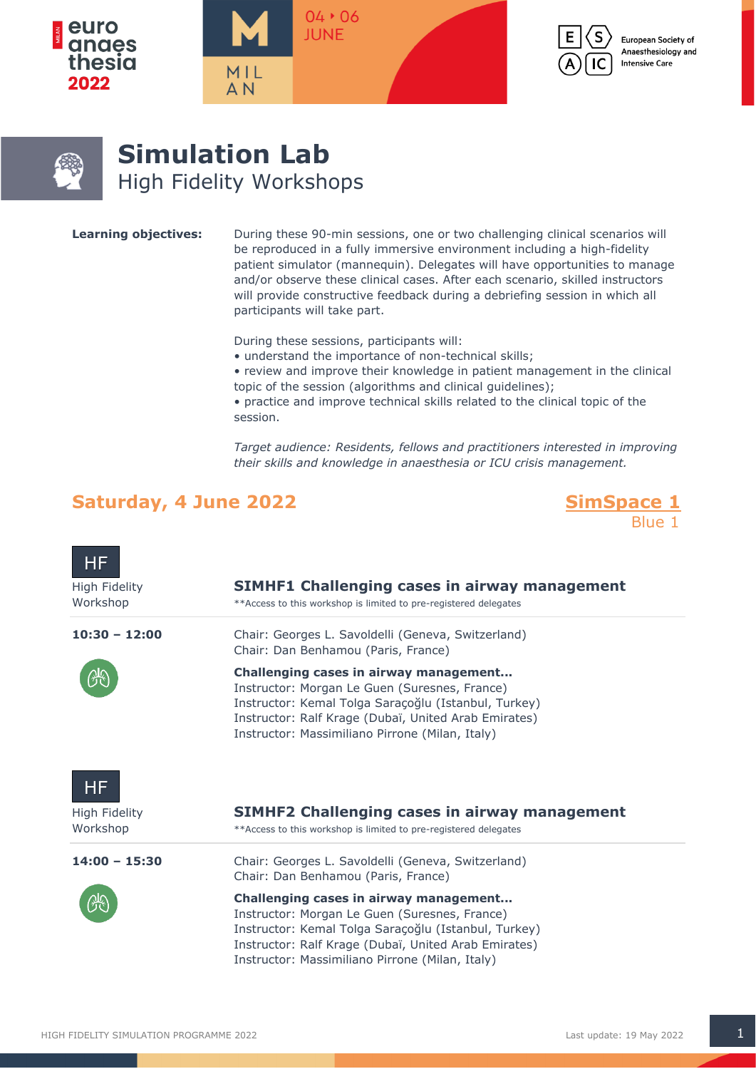



European Society of Anaesthesiology and **Intensive Care** 



# **Simulation Lab** High Fidelity Workshops

**Learning objectives:** During these 90-min sessions, one or two challenging clinical scenarios will be reproduced in a fully immersive environment including a high-fidelity patient simulator (mannequin). Delegates will have opportunities to manage and/or observe these clinical cases. After each scenario, skilled instructors will provide constructive feedback during a debriefing session in which all participants will take part.

During these sessions, participants will:

 $04 * 06$ 

**IUNF** 

- understand the importance of non-technical skills;
- review and improve their knowledge in patient management in the clinical topic of the session (algorithms and clinical guidelines);
- practice and improve technical skills related to the clinical topic of the session.

*Target audience: Residents, fellows and practitioners interested in improving their skills and knowledge in anaesthesia or ICU crisis management.*

## Saturday, 4 June 2022 **SimSpace 1**

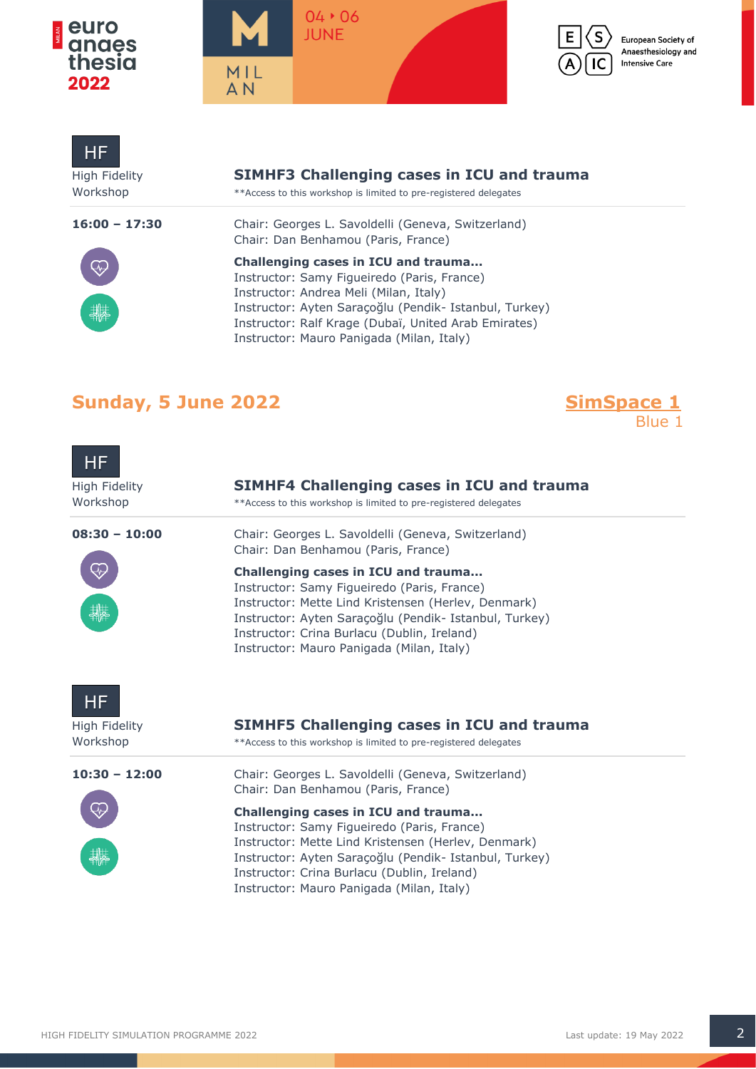

**Contract Contract** 





European Society of Anaesthesiology and **Intensive Care** 

| <b>High Fidelity</b><br>Workshop | <b>SIMHF3 Challenging cases in ICU and trauma</b><br>** Access to this workshop is limited to pre-registered delegates                                                                                                                                                                      |
|----------------------------------|---------------------------------------------------------------------------------------------------------------------------------------------------------------------------------------------------------------------------------------------------------------------------------------------|
| $16:00 - 17:30$                  | Chair: Georges L. Savoldelli (Geneva, Switzerland)<br>Chair: Dan Benhamou (Paris, France)                                                                                                                                                                                                   |
| $\widetilde{\ll}$                | Challenging cases in ICU and trauma<br>Instructor: Samy Figueiredo (Paris, France)<br>Instructor: Andrea Meli (Milan, Italy)<br>Instructor: Ayten Saraçoğlu (Pendik- Istanbul, Turkey)<br>Instructor: Ralf Krage (Dubaï, United Arab Emirates)<br>Instructor: Mauro Panigada (Milan, Italy) |

## **Sunday, 5 June 2022**

**SimSpace 1**<br>Blue 1

| HF,<br><b>High Fidelity</b><br>Workshop | <b>SIMHF4 Challenging cases in ICU and trauma</b><br>** Access to this workshop is limited to pre-registered delegates                                                                                                                                                                          |
|-----------------------------------------|-------------------------------------------------------------------------------------------------------------------------------------------------------------------------------------------------------------------------------------------------------------------------------------------------|
| $08:30 - 10:00$                         | Chair: Georges L. Savoldelli (Geneva, Switzerland)<br>Chair: Dan Benhamou (Paris, France)                                                                                                                                                                                                       |
|                                         | Challenging cases in ICU and trauma<br>Instructor: Samy Figueiredo (Paris, France)<br>Instructor: Mette Lind Kristensen (Herlev, Denmark)<br>Instructor: Ayten Saraçoğlu (Pendik- Istanbul, Turkey)<br>Instructor: Crina Burlacu (Dublin, Ireland)<br>Instructor: Mauro Panigada (Milan, Italy) |
| HF<br>High Fidelity<br>Workshop         | <b>SIMHF5 Challenging cases in ICU and trauma</b><br>**Access to this workshop is limited to pre-registered delegates                                                                                                                                                                           |
| $10:30 - 12:00$                         | Chair: Georges L. Savoldelli (Geneva, Switzerland)<br>Chair: Dan Benhamou (Paris, France)                                                                                                                                                                                                       |
|                                         | Challenging cases in ICU and trauma<br>Instructor: Samy Figueiredo (Paris, France)<br>Instructor: Mette Lind Kristensen (Herlev, Denmark)<br>Instructor: Ayten Saraçoğlu (Pendik- Istanbul, Turkey)<br>Instructor: Crina Burlacu (Dublin, Ireland)<br>Instructor: Mauro Panigada (Milan, Italy) |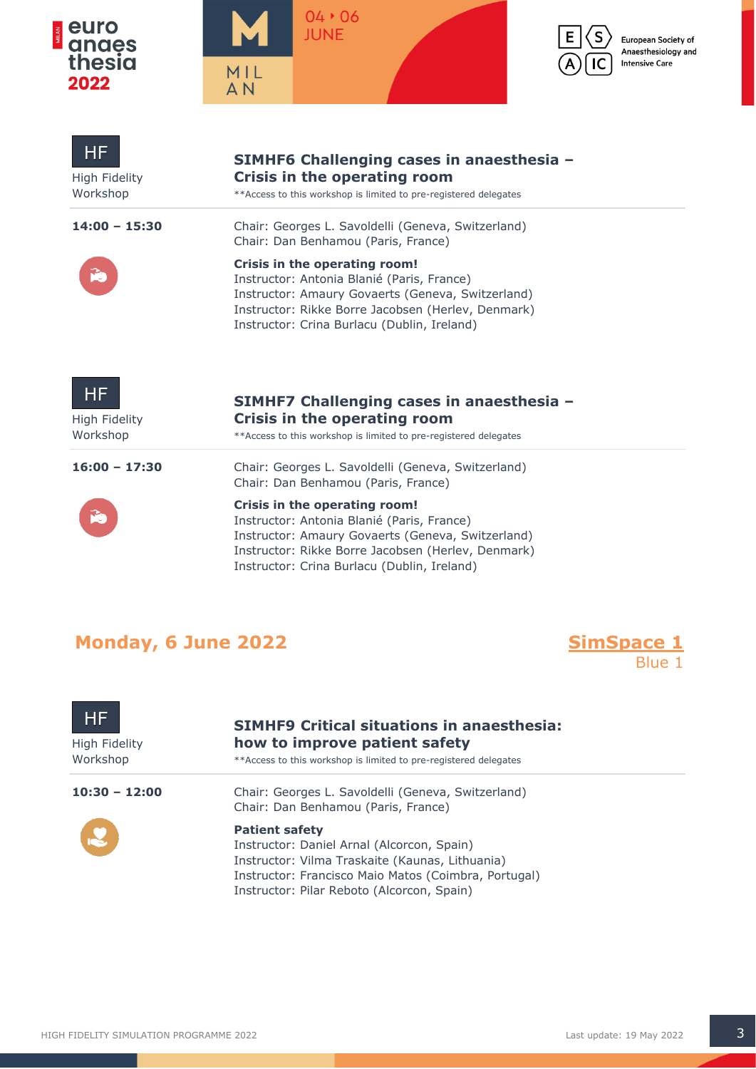

5





European Society of Anaesthesiology and **Intensive Care** 

| HF<br>High Fidelity<br>Workshop | SIMHF6 Challenging cases in anaesthesia -<br>Crisis in the operating room<br>** Access to this workshop is limited to pre-registered delegates                                                                                                                                                                                     |
|---------------------------------|------------------------------------------------------------------------------------------------------------------------------------------------------------------------------------------------------------------------------------------------------------------------------------------------------------------------------------|
| $14:00 - 15:30$                 | Chair: Georges L. Savoldelli (Geneva, Switzerland)<br>Chair: Dan Benhamou (Paris, France)                                                                                                                                                                                                                                          |
|                                 | Crisis in the operating room!<br>Instructor: Antonia Blanié (Paris, France)<br>Instructor: Amaury Govaerts (Geneva, Switzerland)<br>Instructor: Rikke Borre Jacobsen (Herlev, Denmark)<br>Instructor: Crina Burlacu (Dublin, Ireland)                                                                                              |
| ΗF<br>High Fidelity<br>Workshop | SIMHF7 Challenging cases in anaesthesia -<br>Crisis in the operating room<br>** Access to this workshop is limited to pre-registered delegates                                                                                                                                                                                     |
| $16:00 - 17:30$                 | Chair: Georges L. Savoldelli (Geneva, Switzerland)<br>Chair: Dan Benhamou (Paris, France)<br>Crisis in the operating room!<br>Instructor: Antonia Blanié (Paris, France)<br>Instructor: Amaury Govaerts (Geneva, Switzerland)<br>Instructor: Rikke Borre Jacobsen (Herlev, Denmark)<br>Instructor: Crina Burlacu (Dublin, Ireland) |

## **Monday, 6 June 2022**



| HF<br>High Fidelity<br>Workshop | <b>SIMHF9 Critical situations in anaesthesia:</b><br>how to improve patient safety<br>**Access to this workshop is limited to pre-registered delegates                                                                       |
|---------------------------------|------------------------------------------------------------------------------------------------------------------------------------------------------------------------------------------------------------------------------|
| $10:30 - 12:00$                 | Chair: Georges L. Savoldelli (Geneva, Switzerland)<br>Chair: Dan Benhamou (Paris, France)                                                                                                                                    |
|                                 | <b>Patient safety</b><br>Instructor: Daniel Arnal (Alcorcon, Spain)<br>Instructor: Vilma Traskaite (Kaunas, Lithuania)<br>Instructor: Francisco Maio Matos (Coimbra, Portugal)<br>Instructor: Pilar Reboto (Alcorcon, Spain) |